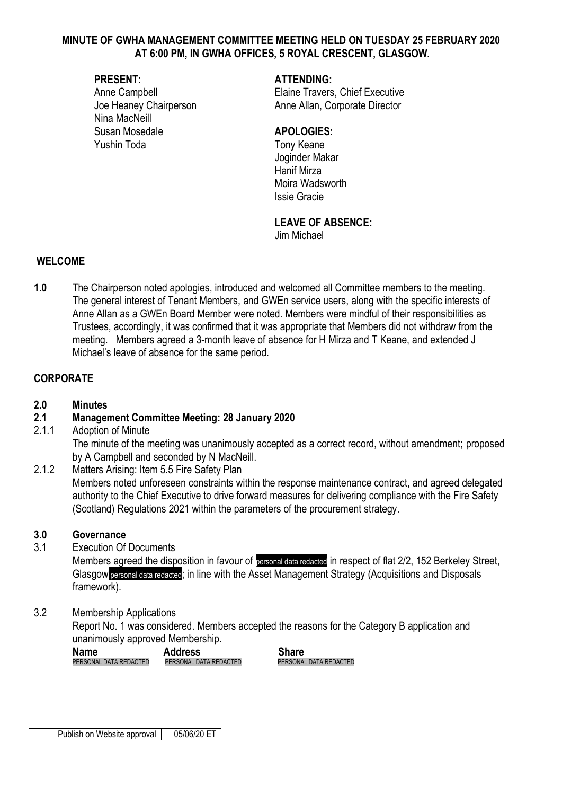#### **MINUTE OF GWHA MANAGEMENT COMMITTEE MEETING HELD ON TUESDAY 25 FEBRUARY 2020 AT 6:00 PM, IN GWHA OFFICES, 5 ROYAL CRESCENT, GLASGOW.**

Nina MacNeill Susan Mosedale **APOLOGIES:** Yushin Toda Tony Keane

## **PRESENT: ATTENDING:**

Anne Campbell **Elaine Travers**, Chief Executive Joe Heaney Chairperson **Anne Allan, Corporate Director** 

Joginder Makar Hanif Mirza Moira Wadsworth Issie Gracie

# **LEAVE OF ABSENCE:**

Jim Michael

#### **WELCOME**

**1.0** The Chairperson noted apologies, introduced and welcomed all Committee members to the meeting. The general interest of Tenant Members, and GWEn service users, along with the specific interests of Anne Allan as a GWEn Board Member were noted. Members were mindful of their responsibilities as Trustees, accordingly, it was confirmed that it was appropriate that Members did not withdraw from the meeting. Members agreed a 3-month leave of absence for H Mirza and T Keane, and extended J Michael's leave of absence for the same period.

## **CORPORATE**

## **2.0 Minutes**

## **2.1 Management Committee Meeting: 28 January 2020**

2.1.1 Adoption of Minute

The minute of the meeting was unanimously accepted as a correct record, without amendment; proposed by A Campbell and seconded by N MacNeill.

2.1.2 Matters Arising: Item 5.5 Fire Safety Plan Members noted unforeseen constraints within the response maintenance contract, and agreed delegated authority to the Chief Executive to drive forward measures for delivering compliance with the Fire Safety (Scotland) Regulations 2021 within the parameters of the procurement strategy.

#### **3.0 Governance**

3.1 Execution Of Documents

Members agreed the disposition in favour of personal data redacted in respect of flat 2/2, 152 Berkeley Street, Glasgow personal data redacted; in line with the Asset Management Strategy (Acquisitions and Disposals framework).

3.2 Membership Applications

Report No. 1 was considered. Members accepted the reasons for the Category B application and unanimously approved Membership.

| <b>Name</b>            | <b>Address</b>         | <b>Share</b> |
|------------------------|------------------------|--------------|
| PERSONAL DATA REDACTED | PERSONAL DATA REDACTED | PERSONA      |

**ERSONAL DATA REDACTED**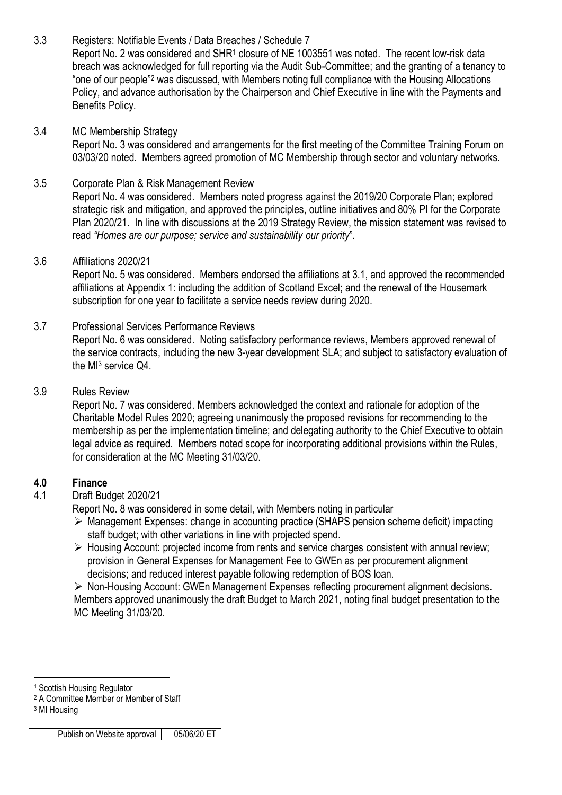3.3 Registers: Notifiable Events / Data Breaches / Schedule 7 Report No. 2 was considered and SHR<sup>1</sup> closure of NE 1003551 was noted. The recent low-risk data breach was acknowledged for full reporting via the Audit Sub-Committee; and the granting of a tenancy to "one of our people"<sup>2</sup> was discussed, with Members noting full compliance with the Housing Allocations Policy, and advance authorisation by the Chairperson and Chief Executive in line with the Payments and Benefits Policy.

# 3.4 MC Membership Strategy

Report No. 3 was considered and arrangements for the first meeting of the Committee Training Forum on 03/03/20 noted. Members agreed promotion of MC Membership through sector and voluntary networks.

## 3.5 Corporate Plan & Risk Management Review

Report No. 4 was considered. Members noted progress against the 2019/20 Corporate Plan; explored strategic risk and mitigation, and approved the principles, outline initiatives and 80% PI for the Corporate Plan 2020/21. In line with discussions at the 2019 Strategy Review, the mission statement was revised to read *"Homes are our purpose; service and sustainability our priority*".

#### 3.6 Affiliations 2020/21

Report No. 5 was considered. Members endorsed the affiliations at 3.1, and approved the recommended affiliations at Appendix 1: including the addition of Scotland Excel; and the renewal of the Housemark subscription for one year to facilitate a service needs review during 2020.

## 3.7 Professional Services Performance Reviews

Report No. 6 was considered. Noting satisfactory performance reviews, Members approved renewal of the service contracts, including the new 3-year development SLA; and subject to satisfactory evaluation of the MI<sup>3</sup> service Q4.

## 3.9 Rules Review

Report No. 7 was considered. Members acknowledged the context and rationale for adoption of the Charitable Model Rules 2020; agreeing unanimously the proposed revisions for recommending to the membership as per the implementation timeline; and delegating authority to the Chief Executive to obtain legal advice as required. Members noted scope for incorporating additional provisions within the Rules, for consideration at the MC Meeting 31/03/20.

## **4.0 Finance**

## 4.1 Draft Budget 2020/21

Report No. 8 was considered in some detail, with Members noting in particular

- Management Expenses: change in accounting practice (SHAPS pension scheme deficit) impacting staff budget; with other variations in line with projected spend.
- $\triangleright$  Housing Account: projected income from rents and service charges consistent with annual review; provision in General Expenses for Management Fee to GWEn as per procurement alignment decisions; and reduced interest payable following redemption of BOS loan.

 Non-Housing Account: GWEn Management Expenses reflecting procurement alignment decisions. Members approved unanimously the draft Budget to March 2021, noting final budget presentation to the MC Meeting 31/03/20.

1

<sup>1</sup> Scottish Housing Regulator

<sup>2</sup> A Committee Member or Member of Staff

<sup>3</sup> MI Housing